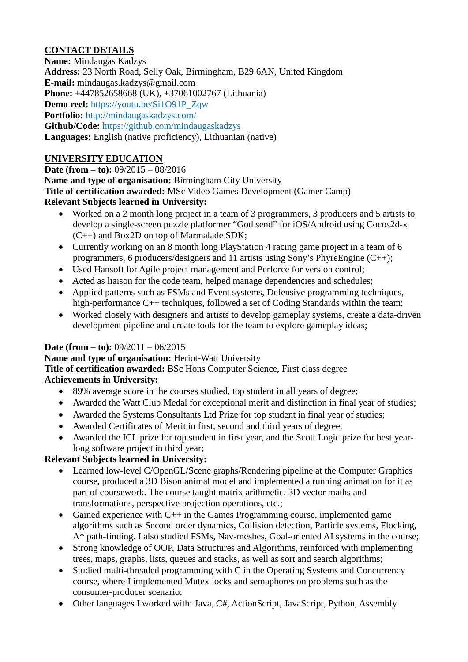# **CONTACT DETAILS**

**Name:** Mindaugas Kadzys **Address:** 23 North Road, Selly Oak, Birmingham, B29 6AN, United Kingdom **E-mail:** mindaugas.kadzys@gmail.com **Phone:** +447852658668 (UK), +37061002767 (Lithuania) **Demo reel:** [https://youtu.be/Si1O91P\\_Zqw](https://youtu.be/Si1O91P_Zqw) **Portfolio:** <http://mindaugaskadzys.com/> **Github/Code:** <https://github.com/mindaugaskadzys> **Languages:** English (native proficiency), Lithuanian (native)

## **UNIVERSITY EDUCATION**

**Date (from – to):** 09/2015 – 08/2016 **Name and type of organisation:** Birmingham City University **Title of certification awarded:** MSc Video Games Development (Gamer Camp) **Relevant Subjects learned in University:**

- Worked on a 2 month long project in a team of 3 programmers, 3 producers and 5 artists to develop a single-screen puzzle platformer "God send" for iOS/Android using Cocos2d-x (C++) and Box2D on top of Marmalade SDK;
- Currently working on an 8 month long PlayStation 4 racing game project in a team of 6 programmers, 6 producers/designers and 11 artists using Sony's PhyreEngine  $(C^{++})$ ;
- Used Hansoft for Agile project management and Perforce for version control;
- Acted as liaison for the code team, helped manage dependencies and schedules;
- Applied patterns such as FSMs and Event systems, Defensive programming techniques, high-performance C++ techniques, followed a set of Coding Standards within the team;
- Worked closely with designers and artists to develop gameplay systems, create a data-driven development pipeline and create tools for the team to explore gameplay ideas;

### **Date (from – to):** 09/2011 – 06/2015

### **Name and type of organisation:** Heriot-Watt University

**Title of certification awarded:** BSc Hons Computer Science, First class degree

### **Achievements in University:**

- 89% average score in the courses studied, top student in all years of degree;
- Awarded the Watt Club Medal for exceptional merit and distinction in final year of studies;
- Awarded the Systems Consultants Ltd Prize for top student in final year of studies;
- Awarded Certificates of Merit in first, second and third years of degree;
- Awarded the ICL prize for top student in first year, and the Scott Logic prize for best yearlong software project in third year;

### **Relevant Subjects learned in University:**

- Learned low-level C/OpenGL/Scene graphs/Rendering pipeline at the Computer Graphics course, produced a 3D Bison animal model and implemented a running animation for it as part of coursework. The course taught matrix arithmetic, 3D vector maths and transformations, perspective projection operations, etc.;
- Gained experience with  $C^{++}$  in the Games Programming course, implemented game algorithms such as Second order dynamics, Collision detection, Particle systems, Flocking, A\* path-finding. I also studied FSMs, Nav-meshes, Goal-oriented AI systems in the course;
- Strong knowledge of OOP, Data Structures and Algorithms, reinforced with implementing trees, maps, graphs, lists, queues and stacks, as well as sort and search algorithms;
- Studied multi-threaded programming with C in the Operating Systems and Concurrency course, where I implemented Mutex locks and semaphores on problems such as the consumer-producer scenario;
- Other languages I worked with: Java, C#, ActionScript, JavaScript, Python, Assembly.